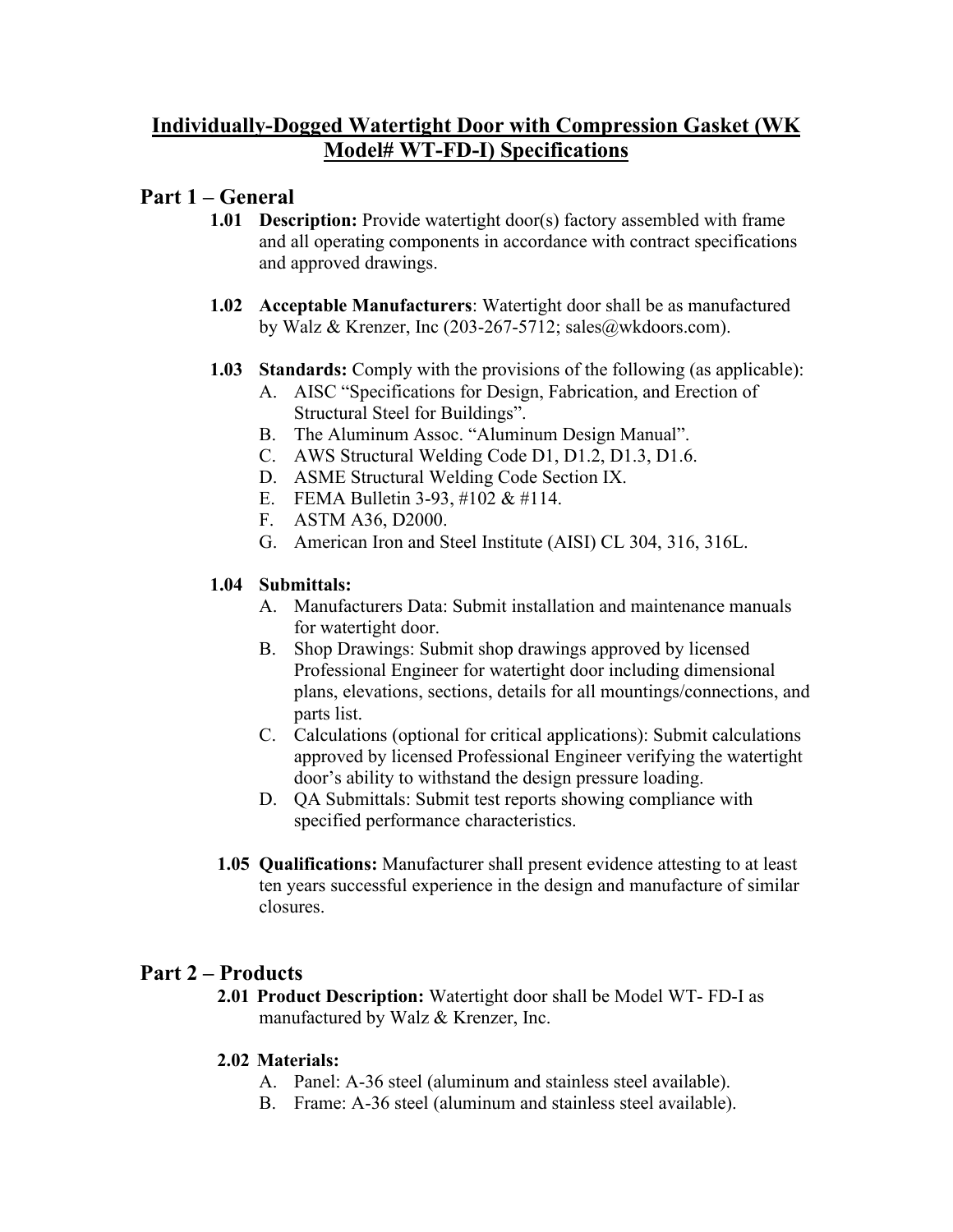# **Individually-Dogged Watertight Door with Compression Gasket (WK Model# WT-FD-I) Specifications**

# **Part 1 – General**

- **1.01 Description:** Provide watertight door(s) factory assembled with frame and all operating components in accordance with contract specifications and approved drawings.
- **1.02 Acceptable Manufacturers**: Watertight door shall be as manufactured by Walz & Krenzer, Inc (203-267-5712; sales@wkdoors.com).
- **1.03 Standards:** Comply with the provisions of the following (as applicable):
	- A. AISC "Specifications for Design, Fabrication, and Erection of Structural Steel for Buildings".
	- B. The Aluminum Assoc. "Aluminum Design Manual".
	- C. AWS Structural Welding Code D1, D1.2, D1.3, D1.6.
	- D. ASME Structural Welding Code Section IX.
	- E. FEMA Bulletin 3-93, #102 & #114.
	- F. ASTM A36, D2000.
	- G. American Iron and Steel Institute (AISI) CL 304, 316, 316L.

## **1.04 Submittals:**

- A. Manufacturers Data: Submit installation and maintenance manuals for watertight door.
- B. Shop Drawings: Submit shop drawings approved by licensed Professional Engineer for watertight door including dimensional plans, elevations, sections, details for all mountings/connections, and parts list.
- C. Calculations (optional for critical applications): Submit calculations approved by licensed Professional Engineer verifying the watertight door's ability to withstand the design pressure loading.
- D. QA Submittals: Submit test reports showing compliance with specified performance characteristics.
- **1.05 Qualifications:** Manufacturer shall present evidence attesting to at least ten years successful experience in the design and manufacture of similar closures.

# **Part 2 – Products**

**2.01 Product Description:** Watertight door shall be Model WT- FD-I as manufactured by Walz & Krenzer, Inc.

## **2.02 Materials:**

- A. Panel: A-36 steel (aluminum and stainless steel available).
- B. Frame: A-36 steel (aluminum and stainless steel available).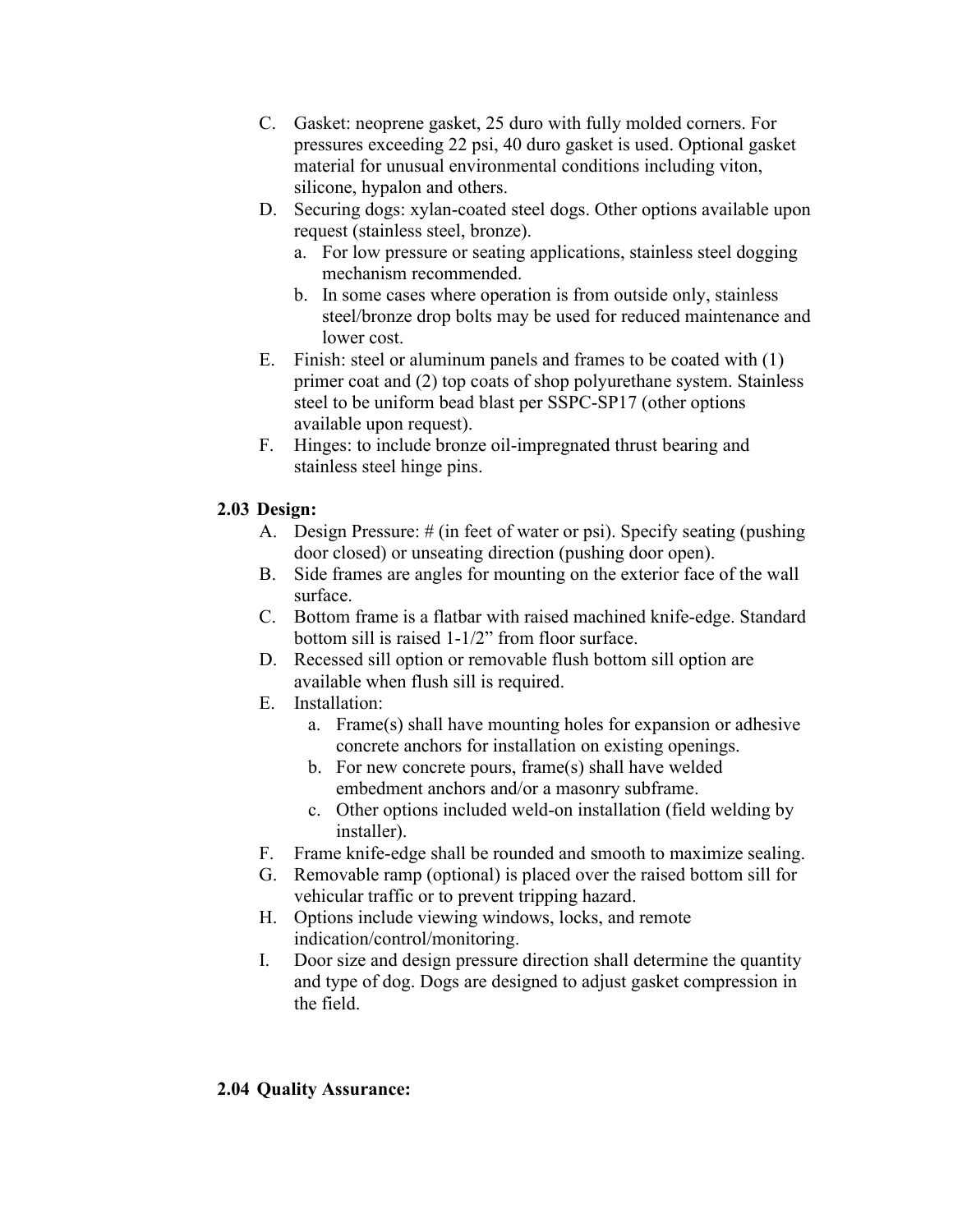- C. Gasket: neoprene gasket, 25 duro with fully molded corners. For pressures exceeding 22 psi, 40 duro gasket is used. Optional gasket material for unusual environmental conditions including viton, silicone, hypalon and others.
- D. Securing dogs: xylan-coated steel dogs. Other options available upon request (stainless steel, bronze).
	- a. For low pressure or seating applications, stainless steel dogging mechanism recommended.
	- b. In some cases where operation is from outside only, stainless steel/bronze drop bolts may be used for reduced maintenance and lower cost.
- E. Finish: steel or aluminum panels and frames to be coated with (1) primer coat and (2) top coats of shop polyurethane system. Stainless steel to be uniform bead blast per SSPC-SP17 (other options available upon request).
- F. Hinges: to include bronze oil-impregnated thrust bearing and stainless steel hinge pins.

## **2.03 Design:**

- A. Design Pressure: # (in feet of water or psi). Specify seating (pushing door closed) or unseating direction (pushing door open).
- B. Side frames are angles for mounting on the exterior face of the wall surface.
- C. Bottom frame is a flatbar with raised machined knife-edge. Standard bottom sill is raised 1-1/2" from floor surface.
- D. Recessed sill option or removable flush bottom sill option are available when flush sill is required.
- E. Installation:
	- a. Frame(s) shall have mounting holes for expansion or adhesive concrete anchors for installation on existing openings.
	- b. For new concrete pours, frame(s) shall have welded embedment anchors and/or a masonry subframe.
	- c. Other options included weld-on installation (field welding by installer).
- F. Frame knife-edge shall be rounded and smooth to maximize sealing.
- G. Removable ramp (optional) is placed over the raised bottom sill for vehicular traffic or to prevent tripping hazard.
- H. Options include viewing windows, locks, and remote indication/control/monitoring.
- I. Door size and design pressure direction shall determine the quantity and type of dog. Dogs are designed to adjust gasket compression in the field.

## **2.04 Quality Assurance:**